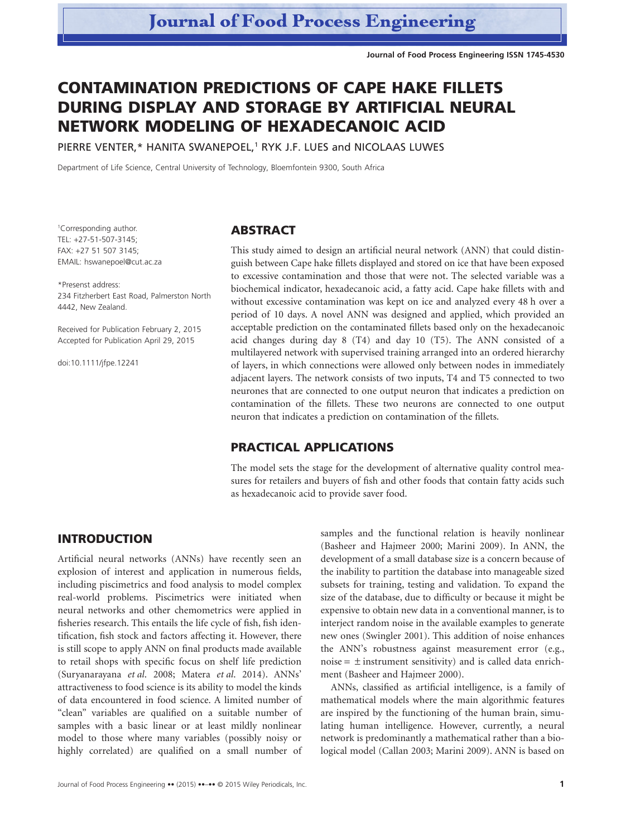**Journal of Food Process Engineering ISSN 1745-4530**

# **CONTAMINATION PREDICTIONS OF CAPE HAKE FILLETS DURING DISPLAY AND STORAGE BY ARTIFICIAL NEURAL NETWORK MODELING OF HEXADECANOIC ACID**

PIERRE VENTER,\* HANITA SWANEPOEL,<sup>1</sup> RYK J.F. LUES and NICOLAAS LUWES

Department of Life Science, Central University of Technology, Bloemfontein 9300, South Africa

1 Corresponding author. TEL: +27-51-507-3145; FAX: +27 51 507 3145; EMAIL: [hswanepoel@cut.ac.za](mailto:hswanepoel@cut.ac.za)

bs\_bs\_banner

\*Presenst address: 234 Fitzherbert East Road, Palmerston North 4442, New Zealand.

Received for Publication February 2, 2015 Accepted for Publication April 29, 2015

doi:10.1111/jfpe.12241

#### **ABSTRACT**

This study aimed to design an artificial neural network (ANN) that could distinguish between Cape hake fillets displayed and stored on ice that have been exposed to excessive contamination and those that were not. The selected variable was a biochemical indicator, hexadecanoic acid, a fatty acid. Cape hake fillets with and without excessive contamination was kept on ice and analyzed every 48 h over a period of 10 days. A novel ANN was designed and applied, which provided an acceptable prediction on the contaminated fillets based only on the hexadecanoic acid changes during day 8 (T4) and day 10 (T5). The ANN consisted of a multilayered network with supervised training arranged into an ordered hierarchy of layers, in which connections were allowed only between nodes in immediately adjacent layers. The network consists of two inputs, T4 and T5 connected to two neurones that are connected to one output neuron that indicates a prediction on contamination of the fillets. These two neurons are connected to one output neuron that indicates a prediction on contamination of the fillets.

## **PRACTICAL APPLICATIONS**

The model sets the stage for the development of alternative quality control measures for retailers and buyers of fish and other foods that contain fatty acids such as hexadecanoic acid to provide saver food.

# **INTRODUCTION**

Artificial neural networks (ANNs) have recently seen an explosion of interest and application in numerous fields, including piscimetrics and food analysis to model complex real-world problems. Piscimetrics were initiated when neural networks and other chemometrics were applied in fisheries research. This entails the life cycle of fish, fish identification, fish stock and factors affecting it. However, there is still scope to apply ANN on final products made available to retail shops with specific focus on shelf life prediction (Suryanarayana *et al*. 2008; Matera *et al*. 2014). ANNs' attractiveness to food science is its ability to model the kinds of data encountered in food science. A limited number of "clean" variables are qualified on a suitable number of samples with a basic linear or at least mildly nonlinear model to those where many variables (possibly noisy or highly correlated) are qualified on a small number of

development of a small database size is a concern because of the inability to partition the database into manageable sized subsets for training, testing and validation. To expand the size of the database, due to difficulty or because it might be expensive to obtain new data in a conventional manner, is to interject random noise in the available examples to generate new ones (Swingler 2001). This addition of noise enhances the ANN's robustness against measurement error (e.g., noise  $=$   $\pm$  instrument sensitivity) and is called data enrichment (Basheer and Hajmeer 2000). ANNs, classified as artificial intelligence, is a family of

samples and the functional relation is heavily nonlinear (Basheer and Hajmeer 2000; Marini 2009). In ANN, the

mathematical models where the main algorithmic features are inspired by the functioning of the human brain, simulating human intelligence. However, currently, a neural network is predominantly a mathematical rather than a biological model (Callan 2003; Marini 2009). ANN is based on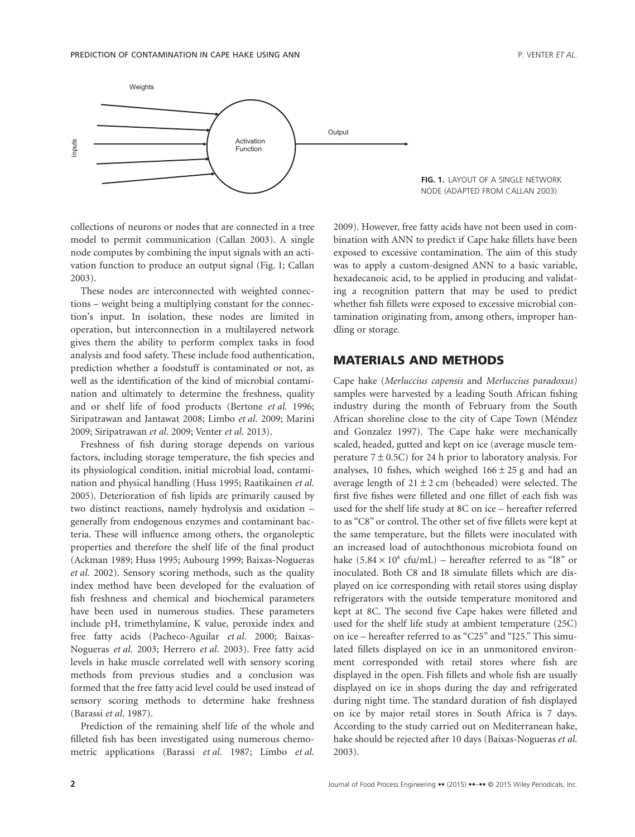

collections of neurons or nodes that are connected in a tree model to permit communication (Callan 2003). A single node computes by combining the input signals with an activation function to produce an output signal (Fig. 1; Callan 2003).

These nodes are interconnected with weighted connections – weight being a multiplying constant for the connection's input. In isolation, these nodes are limited in operation, but interconnection in a multilayered network gives them the ability to perform complex tasks in food analysis and food safety. These include food authentication, prediction whether a foodstuff is contaminated or not, as well as the identification of the kind of microbial contamination and ultimately to determine the freshness, quality and or shelf life of food products (Bertone *et al*. 1996; Siripatrawan and Jantawat 2008; Limbo *et al*. 2009; Marini 2009; Siripatrawan *et al*. 2009; Venter *et al*. 2013).

Freshness of fish during storage depends on various factors, including storage temperature, the fish species and its physiological condition, initial microbial load, contamination and physical handling (Huss 1995; Raatikainen *et al*. 2005). Deterioration of fish lipids are primarily caused by two distinct reactions, namely hydrolysis and oxidation – generally from endogenous enzymes and contaminant bacteria. These will influence among others, the organoleptic properties and therefore the shelf life of the final product (Ackman 1989; Huss 1995; Aubourg 1999; Baixas-Nogueras *et al*. 2002). Sensory scoring methods, such as the quality index method have been developed for the evaluation of fish freshness and chemical and biochemical parameters have been used in numerous studies. These parameters include pH, trimethylamine, K value, peroxide index and free fatty acids (Pacheco-Aguilar *et al*. 2000; Baixas-Nogueras *et al*. 2003; Herrero *et al*. 2003). Free fatty acid levels in hake muscle correlated well with sensory scoring methods from previous studies and a conclusion was formed that the free fatty acid level could be used instead of sensory scoring methods to determine hake freshness (Barassi *et al*. 1987).

Prediction of the remaining shelf life of the whole and filleted fish has been investigated using numerous chemometric applications (Barassi *et al*. 1987; Limbo *et al*. 2009). However, free fatty acids have not been used in combination with ANN to predict if Cape hake fillets have been exposed to excessive contamination. The aim of this study was to apply a custom-designed ANN to a basic variable, hexadecanoic acid, to be applied in producing and validating a recognition pattern that may be used to predict whether fish fillets were exposed to excessive microbial contamination originating from, among others, improper handling or storage.

## **MATERIALS AND METHODS**

Cape hake (*Merluccius capensis* and *Merluccius paradoxus)* samples were harvested by a leading South African fishing industry during the month of February from the South African shoreline close to the city of Cape Town (Méndez and Gonzalez 1997). The Cape hake were mechanically scaled, headed, gutted and kept on ice (average muscle temperature  $7 \pm 0.5C$ ) for 24 h prior to laboratory analysis. For analyses, 10 fishes, which weighed  $166 \pm 25$  g and had an average length of  $21 \pm 2$  cm (beheaded) were selected. The first five fishes were filleted and one fillet of each fish was used for the shelf life study at 8C on ice – hereafter referred to as "C8" or control. The other set of five fillets were kept at the same temperature, but the fillets were inoculated with an increased load of autochthonous microbiota found on hake  $(5.84 \times 10^8 \text{ cfta/mL})$  – hereafter referred to as "I8" or inoculated. Both C8 and I8 simulate fillets which are displayed on ice corresponding with retail stores using display refrigerators with the outside temperature monitored and kept at 8C. The second five Cape hakes were filleted and used for the shelf life study at ambient temperature (25C) on ice – hereafter referred to as "C25" and "I25." This simulated fillets displayed on ice in an unmonitored environment corresponded with retail stores where fish are displayed in the open. Fish fillets and whole fish are usually displayed on ice in shops during the day and refrigerated during night time. The standard duration of fish displayed on ice by major retail stores in South Africa is 7 days. According to the study carried out on Mediterranean hake, hake should be rejected after 10 days (Baixas-Nogueras *et al*. 2003).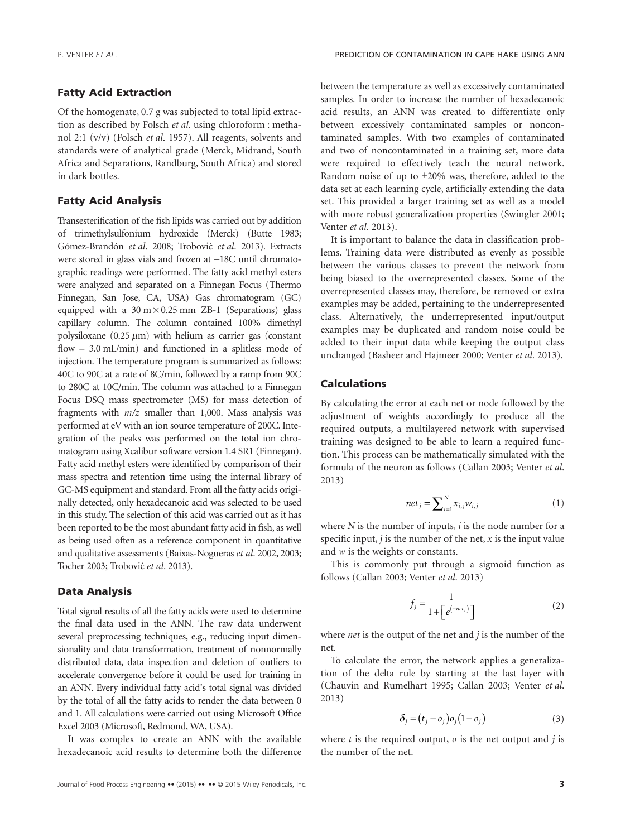#### **Fatty Acid Extraction**

Of the homogenate, 0.7 g was subjected to total lipid extraction as described by Folsch *et al*. using chloroform : methanol 2:1 (v/v) (Folsch *et al*. 1957). All reagents, solvents and standards were of analytical grade (Merck, Midrand, South Africa and Separations, Randburg, South Africa) and stored in dark bottles.

#### **Fatty Acid Analysis**

Transesterification of the fish lipids was carried out by addition of trimethylsulfonium hydroxide (Merck) (Butte 1983; Gómez-Brandón *et al*. 2008; Trobovic´ *et al*. 2013). Extracts were stored in glass vials and frozen at −18C until chromatographic readings were performed. The fatty acid methyl esters were analyzed and separated on a Finnegan Focus (Thermo Finnegan, San Jose, CA, USA) Gas chromatogram (GC) equipped with a  $30 \text{ m} \times 0.25 \text{ mm}$  ZB-1 (Separations) glass capillary column. The column contained 100% dimethyl polysiloxane (0.25  $\mu$ m) with helium as carrier gas (constant flow – 3.0 mL/min) and functioned in a splitless mode of injection. The temperature program is summarized as follows: 40C to 90C at a rate of 8C/min, followed by a ramp from 90C to 280C at 10C/min. The column was attached to a Finnegan Focus DSQ mass spectrometer (MS) for mass detection of fragments with *m/z* smaller than 1,000. Mass analysis was performed at eV with an ion source temperature of 200C. Integration of the peaks was performed on the total ion chromatogram using Xcalibur software version 1.4 SR1 (Finnegan). Fatty acid methyl esters were identified by comparison of their mass spectra and retention time using the internal library of GC-MS equipment and standard. From all the fatty acids originally detected, only hexadecanoic acid was selected to be used in this study. The selection of this acid was carried out as it has been reported to be the most abundant fatty acid in fish, as well as being used often as a reference component in quantitative and qualitative assessments (Baixas-Nogueras *et al*. 2002, 2003; Tocher 2003; Trobovic´ *et al*. 2013).

#### **Data Analysis**

Total signal results of all the fatty acids were used to determine the final data used in the ANN. The raw data underwent several preprocessing techniques, e.g., reducing input dimensionality and data transformation, treatment of nonnormally distributed data, data inspection and deletion of outliers to accelerate convergence before it could be used for training in an ANN. Every individual fatty acid's total signal was divided by the total of all the fatty acids to render the data between 0 and 1. All calculations were carried out using Microsoft Office Excel 2003 (Microsoft, Redmond, WA, USA).

It was complex to create an ANN with the available hexadecanoic acid results to determine both the difference

between the temperature as well as excessively contaminated samples. In order to increase the number of hexadecanoic acid results, an ANN was created to differentiate only between excessively contaminated samples or noncontaminated samples. With two examples of contaminated and two of noncontaminated in a training set, more data were required to effectively teach the neural network. Random noise of up to ±20% was, therefore, added to the data set at each learning cycle, artificially extending the data set. This provided a larger training set as well as a model with more robust generalization properties (Swingler 2001; Venter *et al*. 2013).

It is important to balance the data in classification problems. Training data were distributed as evenly as possible between the various classes to prevent the network from being biased to the overrepresented classes. Some of the overrepresented classes may, therefore, be removed or extra examples may be added, pertaining to the underrepresented class. Alternatively, the underrepresented input/output examples may be duplicated and random noise could be added to their input data while keeping the output class unchanged (Basheer and Hajmeer 2000; Venter *et al*. 2013).

#### **Calculations**

By calculating the error at each net or node followed by the adjustment of weights accordingly to produce all the required outputs, a multilayered network with supervised training was designed to be able to learn a required function. This process can be mathematically simulated with the formula of the neuron as follows (Callan 2003; Venter *et al*. 2013)

$$
net_j = \sum_{i=1}^{N} x_{i,j} w_{i,j}
$$
 (1)

where *N* is the number of inputs, *i* is the node number for a specific input,  $j$  is the number of the net,  $x$  is the input value and *w* is the weights or constants.

This is commonly put through a sigmoid function as follows (Callan 2003; Venter *et al*. 2013)

$$
f_j = \frac{1}{1 + \left[e^{(-net_j)}\right]}
$$
 (2)

where *net* is the output of the net and *j* is the number of the net.

To calculate the error, the network applies a generalization of the delta rule by starting at the last layer with (Chauvin and Rumelhart 1995; Callan 2003; Venter *et al*. 2013)

$$
\delta_j = (t_j - o_j) o_j (1 - o_j) \tag{3}
$$

where  $t$  is the required output,  $o$  is the net output and  $j$  is the number of the net.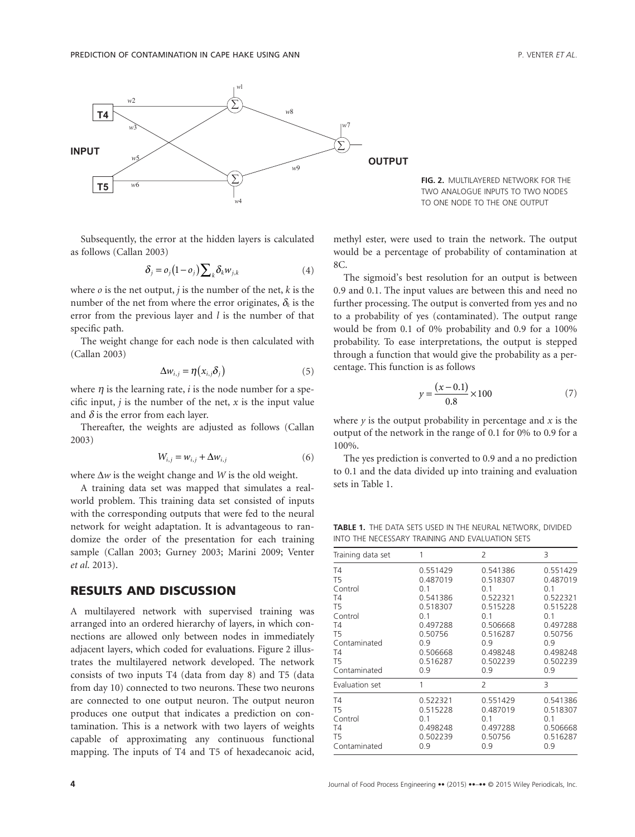

Subsequently, the error at the hidden layers is calculated as follows (Callan 2003)

$$
\delta_j = o_j(1 - o_j) \sum_k \delta_k w_{j,k} \tag{4}
$$

where  $\rho$  is the net output,  $j$  is the number of the net,  $k$  is the number of the net from where the error originates,  $\delta_k$  is the error from the previous layer and *l* is the number of that specific path.

The weight change for each node is then calculated with (Callan 2003)

$$
\Delta w_{i,j} = \eta(x_{i,j}\delta_j) \tag{5}
$$

where  $\eta$  is the learning rate, *i* is the node number for a specific input,  $j$  is the number of the net,  $x$  is the input value and  $\delta$  is the error from each layer.

Thereafter, the weights are adjusted as follows (Callan 2003)

$$
W_{i,j} = w_{i,j} + \Delta w_{i,j} \tag{6}
$$

where Δ*w* is the weight change and *W* is the old weight.

A training data set was mapped that simulates a realworld problem. This training data set consisted of inputs with the corresponding outputs that were fed to the neural network for weight adaptation. It is advantageous to randomize the order of the presentation for each training sample (Callan 2003; Gurney 2003; Marini 2009; Venter *et al*. 2013).

# **RESULTS AND DISCUSSION**

A multilayered network with supervised training was arranged into an ordered hierarchy of layers, in which connections are allowed only between nodes in immediately adjacent layers, which coded for evaluations. Figure 2 illustrates the multilayered network developed. The network consists of two inputs T4 (data from day 8) and T5 (data from day 10) connected to two neurons. These two neurons are connected to one output neuron. The output neuron produces one output that indicates a prediction on contamination. This is a network with two layers of weights capable of approximating any continuous functional mapping. The inputs of T4 and T5 of hexadecanoic acid,



methyl ester, were used to train the network. The output would be a percentage of probability of contamination at 8C.

The sigmoid's best resolution for an output is between 0.9 and 0.1. The input values are between this and need no further processing. The output is converted from yes and no to a probability of yes (contaminated). The output range would be from 0.1 of 0% probability and 0.9 for a 100% probability. To ease interpretations, the output is stepped through a function that would give the probability as a percentage. This function is as follows

$$
y = \frac{(x - 0.1)}{0.8} \times 100\tag{7}
$$

where  $\gamma$  is the output probability in percentage and  $\chi$  is the output of the network in the range of 0.1 for 0% to 0.9 for a 100%.

The yes prediction is converted to 0.9 and a no prediction to 0.1 and the data divided up into training and evaluation sets in Table 1.

**TABLE 1.** THE DATA SETS USED IN THE NEURAL NETWORK, DIVIDED INTO THE NECESSARY TRAINING AND EVALUATION SETS

| Training data set | 1        | 2              | 3        |
|-------------------|----------|----------------|----------|
| T <sub>4</sub>    | 0.551429 | 0.541386       | 0.551429 |
| T <sub>5</sub>    | 0.487019 | 0.518307       | 0.487019 |
| Control           | 0.1      | 0.1            | 0.1      |
| T <sub>4</sub>    | 0.541386 | 0.522321       | 0.522321 |
| T <sub>5</sub>    | 0.518307 | 0.515228       | 0.515228 |
| Control           | 0.1      | 0.1            | 0.1      |
| T4                | 0.497288 | 0.506668       | 0.497288 |
| T <sub>5</sub>    | 0.50756  | 0.516287       | 0.50756  |
| Contaminated      | 0.9      | 0.9            | 0.9      |
| T4                | 0.506668 | 0.498248       | 0.498248 |
| T <sub>5</sub>    | 0.516287 | 0.502239       | 0.502239 |
| Contaminated      | 0.9      | 0.9            | 0.9      |
| Evaluation set    | 1        | $\overline{2}$ | 3        |
| T4                | 0.522321 | 0.551429       | 0.541386 |
| T5                | 0.515228 | 0.487019       | 0.518307 |
| Control           | 0.1      | 01             | 0.1      |
| T4                | 0.498248 | 0.497288       | 0.506668 |
| T <sub>5</sub>    | 0.502239 | 0.50756        | 0.516287 |
| Contaminated      | 0.9      | 0.9            | 0.9      |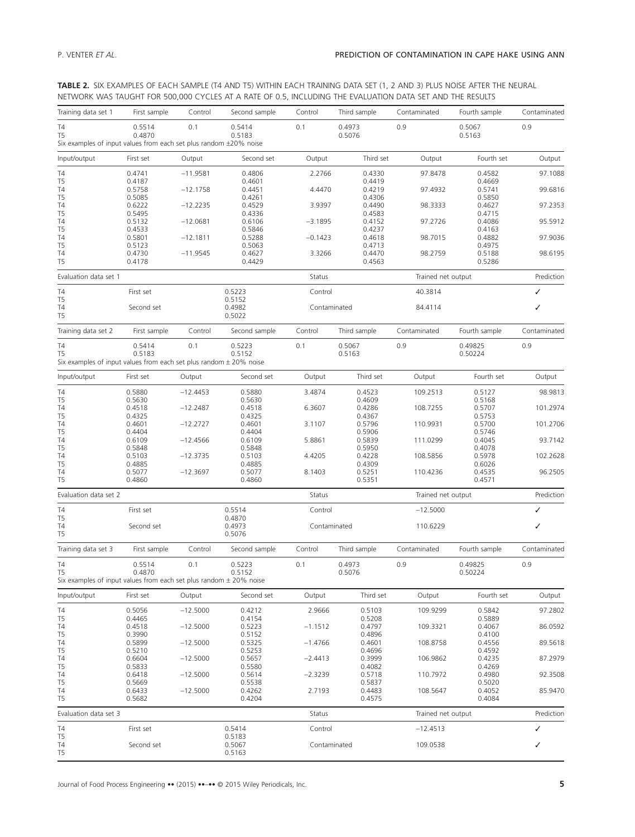**TABLE 2.** SIX EXAMPLES OF EACH SAMPLE (T4 AND T5) WITHIN EACH TRAINING DATA SET (1, 2 AND 3) PLUS NOISE AFTER THE NEURAL NETWORK WAS TAUGHT FOR 500,000 CYCLES AT A RATE OF 0.5, INCLUDING THE EVALUATION DATA SET AND THE RESULTS

| Training data set 1                                                                      | First sample     | Control    | Second sample              | Control      | Third sample     | Contaminated       | Fourth sample    | Contaminated |
|------------------------------------------------------------------------------------------|------------------|------------|----------------------------|--------------|------------------|--------------------|------------------|--------------|
| Τ4<br>T5<br>Six examples of input values from each set plus random ±20% noise            | 0.5514<br>0.4870 | 0.1        | 0.5414<br>0.5183           | 0.1          | 0.4973<br>0.5076 | 0.9                | 0.5067<br>0.5163 | 0.9          |
|                                                                                          |                  |            |                            |              |                  |                    |                  |              |
| Input/output                                                                             | First set        | Output     | Second set                 | Output       | Third set        | Output             | Fourth set       | Output       |
| T4<br>T5                                                                                 | 0.4741<br>0.4187 | $-11.9581$ | 0.4806<br>0.4601           | 2.2766       | 0.4330<br>0.4419 | 97.8478            | 0.4582<br>0.4669 | 97.1088      |
| T4                                                                                       | 0.5758           | $-12.1758$ | 0.4451                     | 4.4470       | 0.4219           | 97.4932            | 0.5741           | 99.6816      |
| T5<br>T4                                                                                 | 0.5085<br>0.6222 | $-12.2235$ | 0.4261<br>0.4529           | 3.9397       | 0.4306<br>0.4490 | 98.3333            | 0.5850<br>0.4627 | 97.2353      |
| T <sub>5</sub>                                                                           | 0.5495           |            | 0.4336                     |              | 0.4583           |                    | 0.4715           |              |
| T4<br>T5                                                                                 | 0.5132<br>0.4533 | $-12.0681$ | 0.6106<br>0.5846           | $-3.1895$    | 0.4152<br>0.4237 | 97.2726            | 0.4086<br>0.4163 | 95.5912      |
| T4                                                                                       | 0.5801           | $-12.1811$ | 0.5288                     | $-0.1423$    | 0.4618           | 98.7015            | 0.4882           | 97.9036      |
| T <sub>5</sub><br>T4                                                                     | 0.5123<br>0.4730 | $-11.9545$ | 0.5063<br>0.4627           | 3.3266       | 0.4713<br>0.4470 | 98.2759            | 0.4975<br>0.5188 | 98.6195      |
| T5                                                                                       | 0.4178           |            | 0.4429                     |              | 0.4563           |                    | 0.5286           |              |
| Evaluation data set 1                                                                    |                  |            |                            | Status       |                  | Trained net output |                  | Prediction   |
| T4                                                                                       | First set        |            | 0.5223                     | Control      |                  | 40.3814            |                  | ✓            |
| T5<br>Τ4<br>T <sub>5</sub>                                                               | Second set       |            | 0.5152<br>0.4982<br>0.5022 | Contaminated |                  | 84.4114            |                  | ✓            |
| Training data set 2                                                                      | First sample     | Control    | Second sample              | Control      | Third sample     | Contaminated       | Fourth sample    | Contaminated |
| T4                                                                                       | 0.5414           | 0.1        | 0.5223                     | 0.1          | 0.5067           | 0.9                | 0.49825          | 0.9          |
| T <sub>5</sub>                                                                           | 0.5183           |            | 0.5152                     |              | 0.5163           |                    | 0.50224          |              |
| Six examples of input values from each set plus random $\pm$ 20% noise                   |                  |            |                            |              |                  |                    |                  |              |
| Input/output                                                                             | First set        | Output     | Second set                 | Output       | Third set        | Output             | Fourth set       | Output       |
| T4<br>T5                                                                                 | 0.5880<br>0.5630 | $-12.4453$ | 0.5880<br>0.5630           | 3.4874       | 0.4523<br>0.4609 | 109.2513           | 0.5127<br>0.5168 | 98.9813      |
| T4                                                                                       | 0.4518           | $-12.2487$ | 0.4518                     | 6.3607       | 0.4286           | 108.7255           | 0.5707           | 101.2974     |
| T5<br>T4                                                                                 | 0.4325<br>0.4601 | $-12.2727$ | 0.4325<br>0.4601           | 3.1107       | 0.4367<br>0.5796 | 110.9931           | 0.5753<br>0.5700 | 101.2706     |
| T <sub>5</sub>                                                                           | 0.4404           |            | 0.4404                     |              | 0.5906           |                    | 0.5746           |              |
| T4                                                                                       | 0.6109           | $-12.4566$ | 0.6109                     | 5.8861       | 0.5839           | 111.0299           | 0.4045           | 93.7142      |
| T5<br>T4                                                                                 | 0.5848<br>0.5103 | $-12.3735$ | 0.5848<br>0.5103           | 4.4205       | 0.5950<br>0.4228 | 108.5856           | 0.4078<br>0.5978 | 102.2628     |
| T5                                                                                       | 0.4885           |            | 0.4885                     |              | 0.4309           |                    | 0.6026           |              |
| Τ4<br>T5                                                                                 | 0.5077<br>0.4860 | $-12.3697$ | 0.5077<br>0.4860           | 8.1403       | 0.5251<br>0.5351 | 110.4236           | 0.4535<br>0.4571 | 96.2505      |
| Evaluation data set 2                                                                    |                  |            |                            | Status       |                  | Trained net output |                  | Prediction   |
| T <sub>4</sub>                                                                           | First set        |            | 0.5514                     | Control      |                  | $-12.5000$         |                  | ✓            |
| T5<br>Τ4                                                                                 | Second set       |            | 0.4870<br>0.4973           | Contaminated |                  | 110.6229           |                  | ✓            |
| T5                                                                                       |                  |            | 0.5076                     |              |                  |                    |                  |              |
| Training data set 3                                                                      | First sample     | Control    | Second sample              | Control      | Third sample     | Contaminated       | Fourth sample    | Contaminated |
| T4                                                                                       | 0.5514           | 0.1        | 0.5223                     | 0.1          | 0.4973           | 0.9                | 0.49825          | 0.9          |
| T <sub>5</sub><br>Six examples of input values from each set plus random $\pm$ 20% noise | 0.4870           |            | 0.5152                     |              | 0.5076           |                    | 0.50224          |              |
| Input/output                                                                             | First set        | Output     | Second set                 | Output       | Third set        | Output             | Fourth set       | Output       |
| T4                                                                                       | 0.5056           | $-12.5000$ | 0.4212                     | 2.9666       | 0.5103           | 109.9299           | 0.5842           | 97.2802      |
| T5<br>T4                                                                                 | 0.4465<br>0.4518 | $-12.5000$ | 0.4154                     | $-1.1512$    | 0.5208<br>0.4797 | 109.3321           | 0.5889<br>0.4067 | 86.0592      |
| T <sub>5</sub>                                                                           | 0.3990           |            | 0.5223<br>0.5152           |              | 0.4896           |                    | 0.4100           |              |
| T <sub>4</sub>                                                                           | 0.5899           | $-12.5000$ | 0.5325                     | $-1.4766$    | 0.4601           | 108.8758           | 0.4556           | 89.5618      |
| T5<br>T4                                                                                 | 0.5210<br>0.6604 | $-12.5000$ | 0.5253<br>0.5657           | $-2.4413$    | 0.4696<br>0.3999 | 106.9862           | 0.4592<br>0.4235 | 87.2979      |
| T5                                                                                       | 0.5833           |            | 0.5580                     |              | 0.4082           |                    | 0.4269           |              |
| T <sub>4</sub><br>T5                                                                     | 0.6418<br>0.5669 | $-12.5000$ | 0.5614<br>0.5538           | $-2.3239$    | 0.5718<br>0.5837 | 110.7972           | 0.4980<br>0.5020 | 92.3508      |
| T4                                                                                       | 0.6433           | $-12.5000$ | 0.4262                     | 2.7193       | 0.4483           | 108.5647           | 0.4052           | 85.9470      |
| T5                                                                                       | 0.5682           |            | 0.4204                     |              | 0.4575           |                    | 0.4084           |              |
| Evaluation data set 3                                                                    |                  |            |                            | Status       |                  | Trained net output |                  | Prediction   |
| T4                                                                                       | First set        |            | 0.5414                     | Control      |                  | $-12.4513$         |                  | ✓            |
| T5<br>T4<br>T5                                                                           | Second set       |            | 0.5183<br>0.5067<br>0.5163 | Contaminated |                  | 109.0538           |                  | ✓            |

Journal of Food Process Engineering **••** (2015) ••–•• © 2015 Wiley Periodicals, Inc. **5**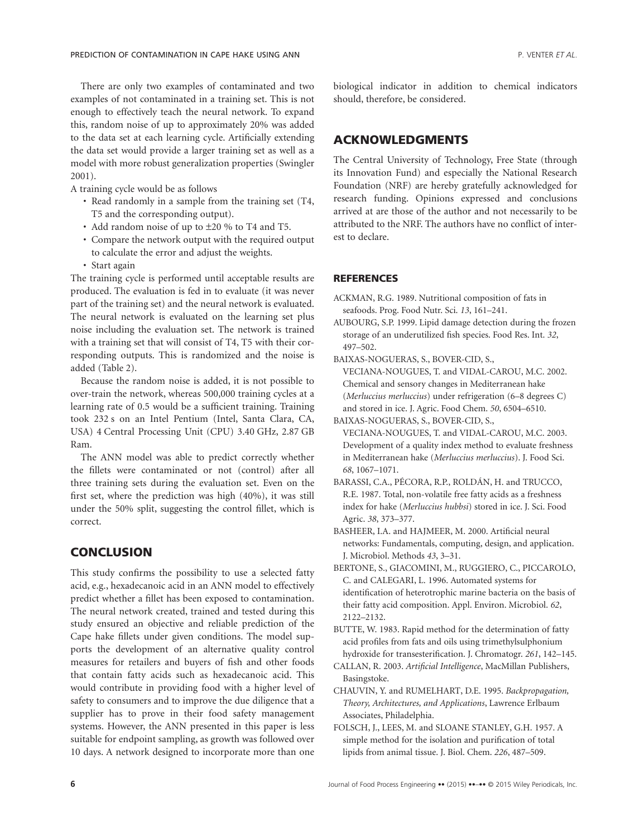There are only two examples of contaminated and two examples of not contaminated in a training set. This is not enough to effectively teach the neural network. To expand this, random noise of up to approximately 20% was added to the data set at each learning cycle. Artificially extending the data set would provide a larger training set as well as a model with more robust generalization properties (Swingler 2001).

A training cycle would be as follows

- Read randomly in a sample from the training set (T4, T5 and the corresponding output).
- Add random noise of up to ±20 % to T4 and T5.
- Compare the network output with the required output to calculate the error and adjust the weights.
- Start again

The training cycle is performed until acceptable results are produced. The evaluation is fed in to evaluate (it was never part of the training set) and the neural network is evaluated. The neural network is evaluated on the learning set plus noise including the evaluation set. The network is trained with a training set that will consist of T4, T5 with their corresponding outputs. This is randomized and the noise is added (Table 2).

Because the random noise is added, it is not possible to over-train the network, whereas 500,000 training cycles at a learning rate of 0.5 would be a sufficient training. Training took 232 s on an Intel Pentium (Intel, Santa Clara, CA, USA) 4 Central Processing Unit (CPU) 3.40 GHz, 2.87 GB Ram.

The ANN model was able to predict correctly whether the fillets were contaminated or not (control) after all three training sets during the evaluation set. Even on the first set, where the prediction was high (40%), it was still under the 50% split, suggesting the control fillet, which is correct.

## **CONCLUSION**

This study confirms the possibility to use a selected fatty acid, e.g., hexadecanoic acid in an ANN model to effectively predict whether a fillet has been exposed to contamination. The neural network created, trained and tested during this study ensured an objective and reliable prediction of the Cape hake fillets under given conditions. The model supports the development of an alternative quality control measures for retailers and buyers of fish and other foods that contain fatty acids such as hexadecanoic acid. This would contribute in providing food with a higher level of safety to consumers and to improve the due diligence that a supplier has to prove in their food safety management systems. However, the ANN presented in this paper is less suitable for endpoint sampling, as growth was followed over 10 days. A network designed to incorporate more than one biological indicator in addition to chemical indicators should, therefore, be considered.

# **ACKNOWLEDGMENTS**

The Central University of Technology, Free State (through its Innovation Fund) and especially the National Research Foundation (NRF) are hereby gratefully acknowledged for research funding. Opinions expressed and conclusions arrived at are those of the author and not necessarily to be attributed to the NRF. The authors have no conflict of interest to declare.

#### **REFERENCES**

- ACKMAN, R.G. 1989. Nutritional composition of fats in seafoods. Prog. Food Nutr. Sci. *13*, 161–241.
- AUBOURG, S.P. 1999. Lipid damage detection during the frozen storage of an underutilized fish species. Food Res. Int. *32*, 497–502.
- BAIXAS-NOGUERAS, S., BOVER-CID, S., VECIANA-NOUGUES, T. and VIDAL-CAROU, M.C. 2002. Chemical and sensory changes in Mediterranean hake (*Merluccius merluccius*) under refrigeration (6–8 degrees C) and stored in ice. J. Agric. Food Chem. *50*, 6504–6510.

BAIXAS-NOGUERAS, S., BOVER-CID, S., VECIANA-NOUGUES, T. and VIDAL-CAROU, M.C. 2003. Development of a quality index method to evaluate freshness in Mediterranean hake (*Merluccius merluccius*). J. Food Sci. *68*, 1067–1071.

- BARASSI, C.A., PÉCORA, R.P., ROLDÁN, H. and TRUCCO, R.E. 1987. Total, non-volatile free fatty acids as a freshness index for hake (*Merluccius hubbsi*) stored in ice. J. Sci. Food Agric. *38*, 373–377.
- BASHEER, I.A. and HAJMEER, M. 2000. Artificial neural networks: Fundamentals, computing, design, and application. J. Microbiol. Methods *43*, 3–31.
- BERTONE, S., GIACOMINI, M., RUGGIERO, C., PICCAROLO, C. and CALEGARI, L. 1996. Automated systems for identification of heterotrophic marine bacteria on the basis of their fatty acid composition. Appl. Environ. Microbiol. *62*, 2122–2132.
- BUTTE, W. 1983. Rapid method for the determination of fatty acid profiles from fats and oils using trimethylsulphonium hydroxide for transesterification. J. Chromatogr. *261*, 142–145.
- CALLAN, R. 2003. *Artificial Intelligence*, MacMillan Publishers, Basingstoke.
- CHAUVIN, Y. and RUMELHART, D.E. 1995. *Backpropagation, Theory, Architectures, and Applications*, Lawrence Erlbaum Associates, Philadelphia.
- FOLSCH, J., LEES, M. and SLOANE STANLEY, G.H. 1957. A simple method for the isolation and purification of total lipids from animal tissue. J. Biol. Chem. *226*, 487–509.